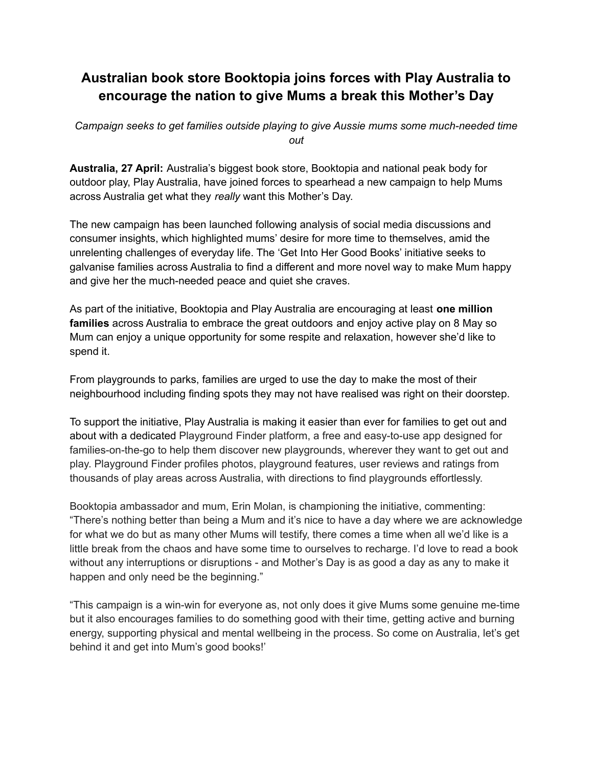## **Australian book store Booktopia joins forces with Play Australia to encourage the nation to give Mums a break this Mother's Day**

*Campaign seeks to get families outside playing to give Aussie mums some much-needed time out*

**Australia, 27 April:** Australia's biggest book store, Booktopia and national peak body for outdoor play, Play Australia, have joined forces to spearhead a new campaign to help Mums across Australia get what they *really* want this Mother's Day.

The new campaign has been launched following analysis of social media discussions and consumer insights, which highlighted mums' desire for more time to themselves, amid the unrelenting challenges of everyday life. The 'Get Into Her Good Books' initiative seeks to galvanise families across Australia to find a different and more novel way to make Mum happy and give her the much-needed peace and quiet she craves.

As part of the initiative, Booktopia and Play Australia are encouraging at least **one million families** across Australia to embrace the great outdoors and enjoy active play on 8 May so Mum can enjoy a unique opportunity for some respite and relaxation, however she'd like to spend it.

From playgrounds to parks, families are urged to use the day to make the most of their neighbourhood including finding spots they may not have realised was right on their doorstep.

To support the initiative, Play Australia is making it easier than ever for families to get out and about with a dedicated Playground Finder platform, a free and easy-to-use app designed for families-on-the-go to help them discover new playgrounds, wherever they want to get out and play. Playground Finder profiles photos, playground features, user reviews and ratings from thousands of play areas across Australia, with directions to find playgrounds effortlessly.

Booktopia ambassador and mum, Erin Molan, is championing the initiative, commenting: "There's nothing better than being a Mum and it's nice to have a day where we are acknowledge for what we do but as many other Mums will testify, there comes a time when all we'd like is a little break from the chaos and have some time to ourselves to recharge. I'd love to read a book without any interruptions or disruptions - and Mother's Day is as good a day as any to make it happen and only need be the beginning."

"This campaign is a win-win for everyone as, not only does it give Mums some genuine me-time but it also encourages families to do something good with their time, getting active and burning energy, supporting physical and mental wellbeing in the process. So come on Australia, let's get behind it and get into Mum's good books!'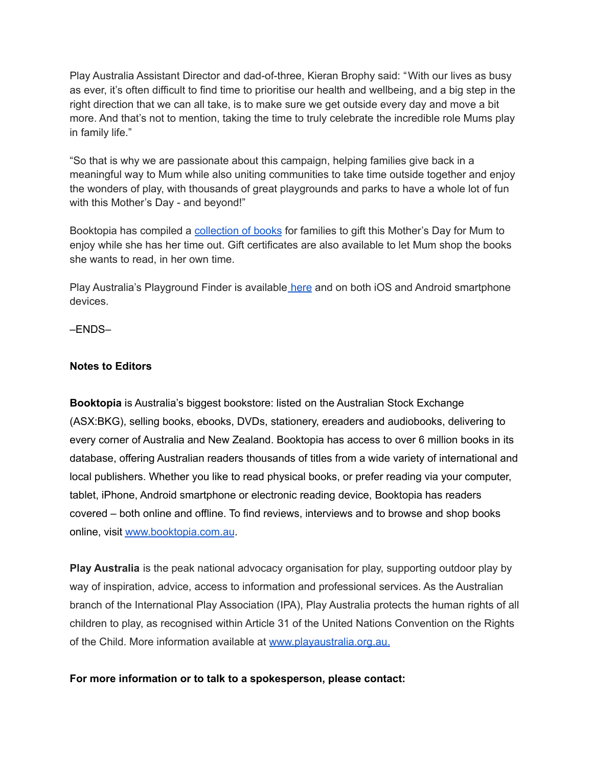Play Australia Assistant Director and dad-of-three, Kieran Brophy said: "With our lives as busy as ever, it's often difficult to find time to prioritise our health and wellbeing, and a big step in the right direction that we can all take, is to make sure we get outside every day and move a bit more. And that's not to mention, taking the time to truly celebrate the incredible role Mums play in family life."

"So that is why we are passionate about this campaign, helping families give back in a meaningful way to Mum while also uniting communities to take time outside together and enjoy the wonders of play, with thousands of great playgrounds and parks to have a whole lot of fun with this Mother's Day - and beyond!"

Booktopia has compiled a [collection](https://www.booktopia.com.au/books-online/booktopia-gift-guide/mother-s-day/c53M-p1.html) of books for families to gift this Mother's Day for Mum to enjoy while she has her time out. Gift certificates are also available to let Mum shop the books she wants to read, in her own time.

Play Australia's Playground Finder is available [here](https://82l35.app.link/) and on both iOS and Android smartphone devices.

–ENDS–

## **Notes to Editors**

**Booktopia** is Australia's biggest bookstore: listed on the Australian Stock Exchange (ASX:BKG), selling books, ebooks, DVDs, stationery, ereaders and audiobooks, delivering to every corner of Australia and New Zealand. Booktopia has access to over 6 million books in its database, offering Australian readers thousands of titles from a wide variety of international and local publishers. Whether you like to read physical books, or prefer reading via your computer, tablet, iPhone, Android smartphone or electronic reading device, Booktopia has readers covered – both online and offline. To find reviews, interviews and to browse and shop books online, visit [www.booktopia.com.au](http://www.booktopia.com.au).

**Play Australia** is the peak national advocacy organisation for play, supporting outdoor play by way of inspiration, advice, access to information and professional services. As the Australian branch of the International Play Association (IPA), Play Australia protects the human rights of all children to play, as recognised within Article 31 of the United Nations Convention on the Rights of the Child. More information available at [www.playaustralia.org.au](http://www.playaustralia.org.au/).

## **For more information or to talk to a spokesperson, please contact:**